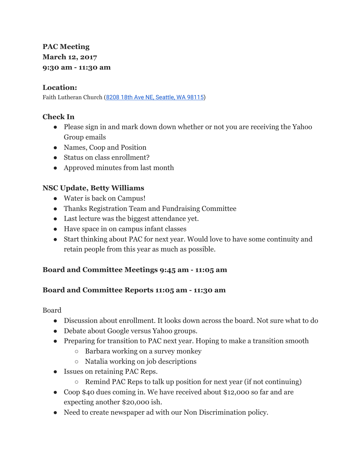# **PAC Meeting March 12, 2017 9:30 am - 11:30 am**

#### **Location:**

Faith Lutheran Church (8208 18th Ave NE, [Seattle,](https://maps.google.com/?q=8208+18th+Ave+NE,+Seattle,+WA+98115&entry=gmail&source=g) WA 98115)

# **Check In**

- Please sign in and mark down down whether or not you are receiving the Yahoo Group emails
- Names, Coop and Position
- Status on class enrollment?
- Approved minutes from last month

# **NSC Update, Betty Williams**

- Water is back on Campus!
- Thanks Registration Team and Fundraising Committee
- Last lecture was the biggest attendance yet.
- Have space in on campus infant classes
- Start thinking about PAC for next year. Would love to have some continuity and retain people from this year as much as possible.

# **Board and Committee Meetings 9:45 am - 11:05 am**

#### **Board and Committee Reports 11:05 am - 11:30 am**

Board

- Discussion about enrollment. It looks down across the board. Not sure what to do
- Debate about Google versus Yahoo groups.
- Preparing for transition to PAC next year. Hoping to make a transition smooth
	- Barbara working on a survey monkey
	- Natalia working on job descriptions
- Issues on retaining PAC Reps.
	- Remind PAC Reps to talk up position for next year (if not continuing)
- Coop \$40 dues coming in. We have received about \$12,000 so far and are expecting another \$20,000 ish.
- Need to create newspaper ad with our Non Discrimination policy.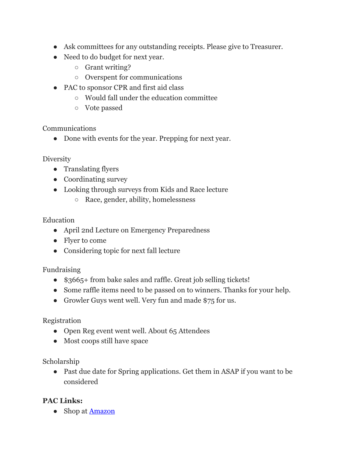- Ask committees for any outstanding receipts. Please give to Treasurer.
- Need to do budget for next year.
	- Grant writing?
	- Overspent for communications
- PAC to sponsor CPR and first aid class
	- Would fall under the education committee
	- Vote passed

Communications

• Done with events for the year. Prepping for next year.

**Diversity** 

- Translating flyers
- Coordinating survey
- Looking through surveys from Kids and Race lecture
	- Race, gender, ability, homelessness

# Education

- April 2nd Lecture on Emergency Preparedness
- Flyer to come
- Considering topic for next fall lecture

Fundraising

- \$3665+ from bake sales and raffle. Great job selling tickets!
- Some raffle items need to be passed on to winners. Thanks for your help.
- Growler Guys went well. Very fun and made \$75 for us.

# Registration

- Open Reg event went well. About 65 Attendees
- Most coops still have space

# Scholarship

• Past due date for Spring applications. Get them in ASAP if you want to be considered

# **PAC Links:**

• Shop at **[Amazon](http://www.amazon.com/ref=as_li_tf_sw?&linkCode=wsw&tag=nortseatcommc-20)**